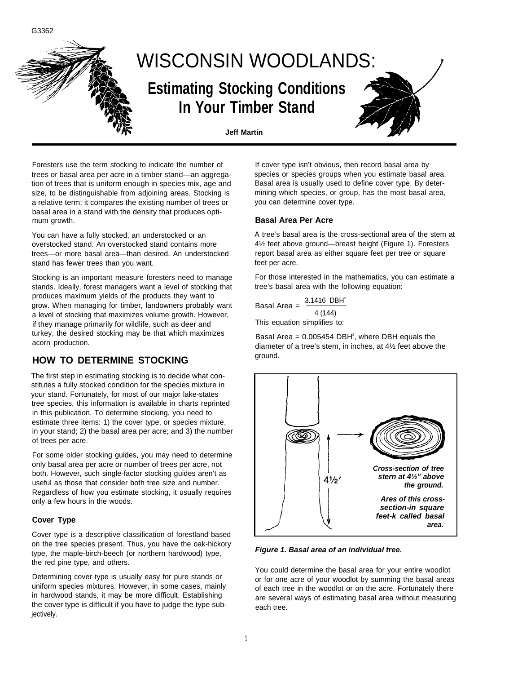

Foresters use the term stocking to indicate the number of trees or basal area per acre in a timber stand—an aggregation of trees that is uniform enough in species mix, age and size, to be distinguishable from adjoining areas. Stocking is a relative term; it compares the existing number of trees or basal area in a stand with the density that produces optimum growth.

You can have a fully stocked, an understocked or an overstocked stand. An overstocked stand contains more trees—or more basal area—than desired. An understocked stand has fewer trees than you want.

Stocking is an important measure foresters need to manage stands. Ideally, forest managers want a level of stocking that produces maximum yields of the products they want to grow. When managing for timber, landowners probably want a level of stocking that maximizes volume growth. However, if they manage primarily for wildlife, such as deer and turkey, the desired stocking may be that which maximizes acorn production.

### **HOW TO DETERMINE STOCKING**

The first step in estimating stocking is to decide what constitutes a fully stocked condition for the species mixture in your stand. Fortunately, for most of our major lake-states tree species, this information is available in charts reprinted in this publication. To determine stocking, you need to estimate three items: 1) the cover type, or species mixture, in your stand; 2) the basal area per acre; and 3) the number of trees per acre.

For some older stocking guides, you may need to determine only basal area per acre or number of trees per acre, not both. However, such single-factor stocking guides aren't as useful as those that consider both tree size and number. Regardless of how you estimate stocking, it usually requires only a few hours in the woods.

#### **Cover Type**

G3362

Cover type is a descriptive classification of forestland based on the tree species present. Thus, you have the oak-hickory type, the maple-birch-beech (or northern hardwood) type, the red pine type, and others.

Determining cover type is usually easy for pure stands or uniform species mixtures. However, in some cases, mainly in hardwood stands, it may be more difficult. Establishing the cover type is difficult if you have to judge the type subjectively.

If cover type isn't obvious, then record basal area by species or species groups when you estimate basal area. Basal area is usually used to define cover type. By determining which species, or group, has the most basal area, you can determine cover type.

#### **Basal Area Per Acre**

A tree's basal area is the cross-sectional area of the stem at 4½ feet above ground—breast height (Figure 1). Foresters report basal area as either square feet per tree or square feet per acre.

For those interested in the mathematics, you can estimate a tree's basal area with the following equation:

Basal Area = 
$$
\frac{3.1416 \text{ DBH}^2}{4 (144)}
$$

This equation simplifies to:

Basal Area =  $0.005454$  DBH<sup>2</sup>, where DBH equals the diameter of a tree's stem, in inches, at 4½ feet above the ground.



**Figure 1. Basal area of an individual tree.**

You could determine the basal area for your entire woodlot or for one acre of your woodlot by summing the basal areas of each tree in the woodlot or on the acre. Fortunately there are several ways of estimating basal area without measuring each tree.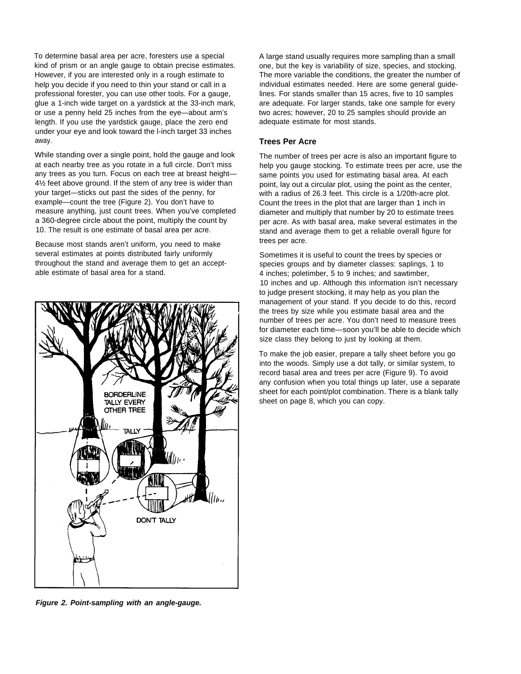To determine basal area per acre, foresters use a special kind of prism or an angle gauge to obtain precise estimates. However, if you are interested only in a rough estimate to help you decide if you need to thin your stand or call in a professional forester, you can use other tools. For a gauge, glue a 1-inch wide target on a yardstick at the 33-inch mark, or use a penny held 25 inches from the eye—about arm's length. If you use the yardstick gauge, place the zero end under your eye and look toward the l-inch target 33 inches away.

While standing over a single point, hold the gauge and look at each nearby tree as you rotate in a full circle. Don't miss any trees as you turn. Focus on each tree at breast height— 4½ feet above ground. If the stem of any tree is wider than your target—sticks out past the sides of the penny, for example—count the tree (Figure 2). You don't have to measure anything, just count trees. When you've completed a 360-degree circle about the point, multiply the count by 10. The result is one estimate of basal area per acre.

Because most stands aren't uniform, you need to make several estimates at points distributed fairly uniformly throughout the stand and average them to get an acceptable estimate of basal area for a stand.



**Figure 2. Point-sampling with an angle-gauge.**

A large stand usually requires more sampling than a small one, but the key is variability of size, species, and stocking. The more variable the conditions, the greater the number of individual estimates needed. Here are some general guidelines. For stands smaller than 15 acres, five to 10 samples are adequate. For larger stands, take one sample for every two acres; however, 20 to 25 samples should provide an adequate estimate for most stands.

#### **Trees Per Acre**

The number of trees per acre is also an important figure to help you gauge stocking. To estimate trees per acre, use the same points you used for estimating basal area. At each point, lay out a circular plot, using the point as the center, with a radius of 26.3 feet. This circle is a 1/20th-acre plot. Count the trees in the plot that are larger than 1 inch in diameter and multiply that number by 20 to estimate trees per acre. As with basal area, make several estimates in the stand and average them to get a reliable overall figure for trees per acre.

Sometimes it is useful to count the trees by species or species groups and by diameter classes: saplings, 1 to 4 inches; poletimber, 5 to 9 inches; and sawtimber, 10 inches and up. Although this information isn't necessary to judge present stocking, it may help as you plan the management of your stand. If you decide to do this, record the trees by size while you estimate basal area and the number of trees per acre. You don't need to measure trees for diameter each time—soon you'll be able to decide which size class they belong to just by looking at them.

To make the job easier, prepare a tally sheet before you go into the woods. Simply use a dot tally, or similar system, to record basal area and trees per acre (Figure 9). To avoid any confusion when you total things up later, use a separate sheet for each point/plot combination. There is a blank tally sheet on page 8, which you can copy.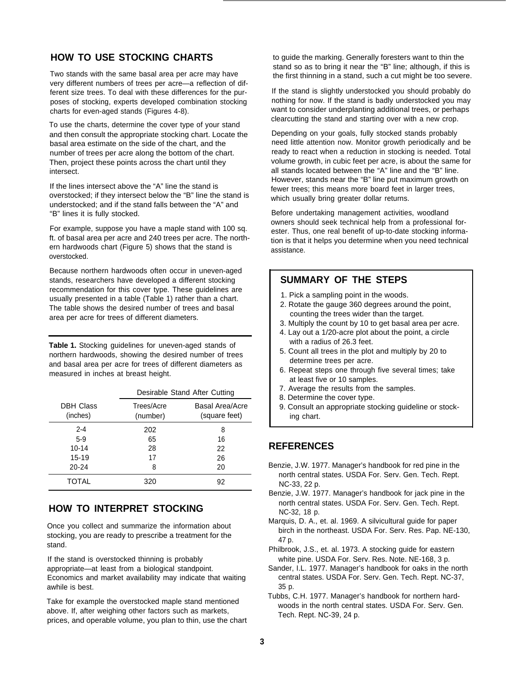## **HOW TO USE STOCKING CHARTS**

Two stands with the same basal area per acre may have very different numbers of trees per acre—a reflection of different size trees. To deal with these differences for the purposes of stocking, experts developed combination stocking charts for even-aged stands (Figures 4-8).

To use the charts, determine the cover type of your stand and then consult the appropriate stocking chart. Locate the basal area estimate on the side of the chart, and the number of trees per acre along the bottom of the chart. Then, project these points across the chart until they intersect.

If the lines intersect above the "A" line the stand is overstocked; if they intersect below the "B" line the stand is understocked; and if the stand falls between the "A" and "B" lines it is fully stocked.

For example, suppose you have a maple stand with 100 sq. ft. of basal area per acre and 240 trees per acre. The northern hardwoods chart (Figure 5) shows that the stand is overstocked.

Because northern hardwoods often occur in uneven-aged stands, researchers have developed a different stocking recommendation for this cover type. These guidelines are usually presented in a table (Table 1) rather than a chart. The table shows the desired number of trees and basal area per acre for trees of different diameters.

**Table 1.** Stocking guidelines for uneven-aged stands of northern hardwoods, showing the desired number of trees and basal area per acre for trees of different diameters as measured in inches at breast height.

|                              | Desirable Stand After Cutting |                                         |  |  |  |
|------------------------------|-------------------------------|-----------------------------------------|--|--|--|
| <b>DBH Class</b><br>(inches) | Trees/Acre<br>(number)        | <b>Basal Area/Acre</b><br>(square feet) |  |  |  |
| $2 - 4$                      | 202                           | 8                                       |  |  |  |
| $5-9$                        | 65                            | 16                                      |  |  |  |
| $10 - 14$                    | 28                            | 22                                      |  |  |  |
| $15 - 19$                    | 17                            | 26                                      |  |  |  |
| $20 - 24$                    | 8                             | 20                                      |  |  |  |
| TOTAL                        | 320                           | 92                                      |  |  |  |

## **HOW TO INTERPRET STOCKING**

Once you collect and summarize the information about stocking, you are ready to prescribe a treatment for the stand.

If the stand is overstocked thinning is probably appropriate—at least from a biological standpoint. Economics and market availability may indicate that waiting awhile is best.

Take for example the overstocked maple stand mentioned above. If, after weighing other factors such as markets, prices, and operable volume, you plan to thin, use the chart to guide the marking. Generally foresters want to thin the stand so as to bring it near the "B" line; although, if this is the first thinning in a stand, such a cut might be too severe.

If the stand is slightly understocked you should probably do nothing for now. If the stand is badly understocked you may want to consider underplanting additional trees, or perhaps clearcutting the stand and starting over with a new crop.

Depending on your goals, fully stocked stands probably need little attention now. Monitor growth periodically and be ready to react when a reduction in stocking is needed. Total volume growth, in cubic feet per acre, is about the same for all stands located between the "A" line and the "B" line. However, stands near the "B" line put maximum growth on fewer trees; this means more board feet in larger trees. which usually bring greater dollar returns.

Before undertaking management activities, woodland owners should seek technical help from a professional forester. Thus, one real benefit of up-to-date stocking information is that it helps you determine when you need technical assistance.

### **SUMMARY OF THE STEPS**

- 1. Pick a sampling point in the woods.
- 2. Rotate the gauge 360 degrees around the point, counting the trees wider than the target.
- 3. Multiply the count by 10 to get basal area per acre.
- 4. Lay out a 1/20-acre plot about the point, a circle with a radius of 26.3 feet.
- 5. Count all trees in the plot and multiply by 20 to determine trees per acre.
- 6. Repeat steps one through five several times; take at least five or 10 samples.
- 7. Average the results from the samples.
- 8. Determine the cover type.
- 9. Consult an appropriate stocking guideline or stocking chart.

### **REFERENCES**

- Benzie, J.W. 1977. Manager's handbook for red pine in the north central states. USDA For. Serv. Gen. Tech. Rept. NC-33, 22 p.
- Benzie, J.W. 1977. Manager's handbook for jack pine in the north central states. USDA For. Serv. Gen. Tech. Rept. NC-32, 18 p.
- Marquis, D. A., et. al. 1969. A silvicultural guide for paper birch in the northeast. USDA For. Serv. Res. Pap. NE-130, 47 p.
- Philbrook, J.S., et. al. 1973. A stocking guide for eastern white pine. USDA For. Serv. Res. Note. NE-168, 3 p.
- Sander, I.L. 1977. Manager's handbook for oaks in the north central states. USDA For. Serv. Gen. Tech. Rept. NC-37, 35 p.
- Tubbs, C.H. 1977. Manager's handbook for northern hardwoods in the north central states. USDA For. Serv. Gen. Tech. Rept. NC-39, 24 p.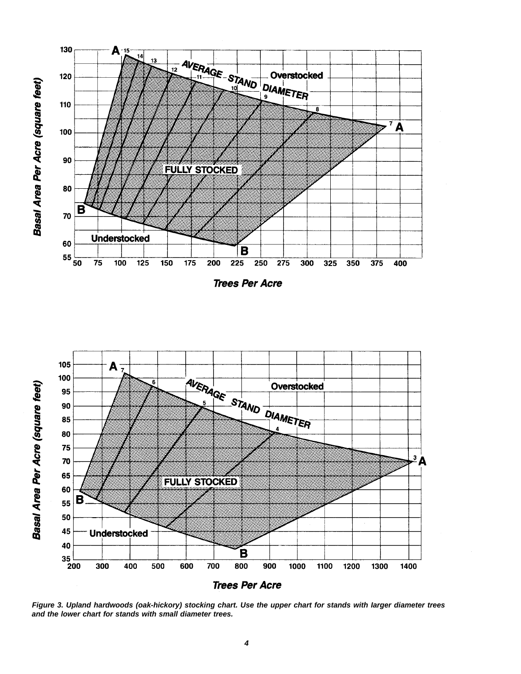Basal Area Per Acre (square feet)



**Trees Per Acre** 



**Figure 3. Upland hardwoods (oak-hickory) stocking chart. Use the upper chart for stands with Iarger diameter trees and the lower chart for stands with small diameter trees.**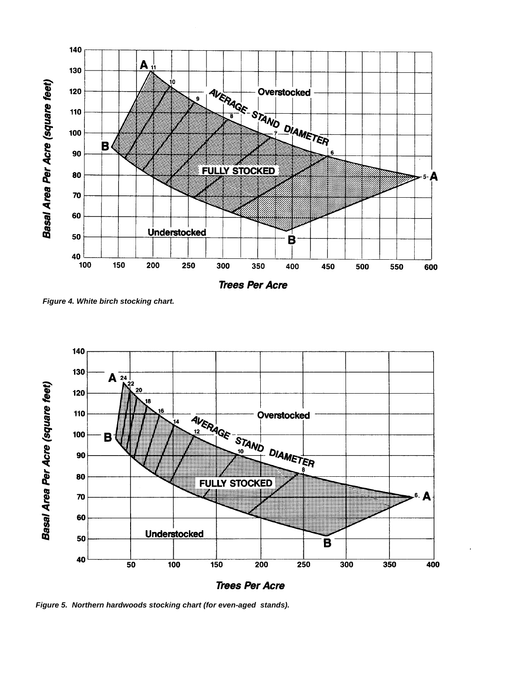

**Trees Per Acre** 

**Figure 4. White birch stocking chart.**



**Figure 5. Northern hardwoods stocking chart (for even-aged stands).**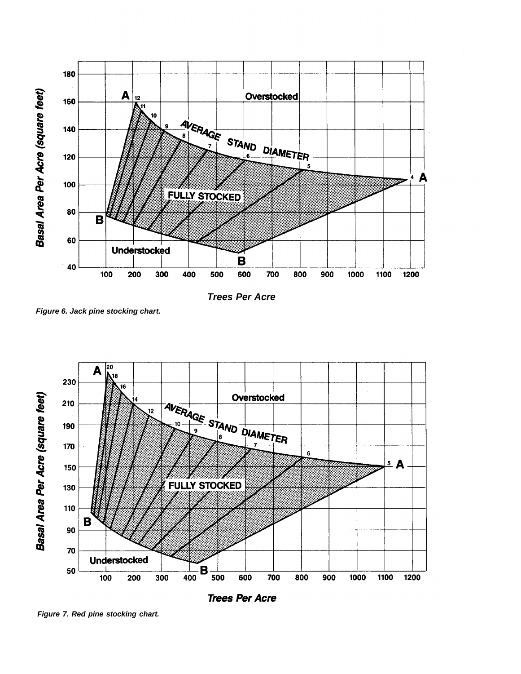

**Trees Per Acre**

**Figure 6. Jack pine stocking chart.**



**Figure 7. Red pine stocking chart.**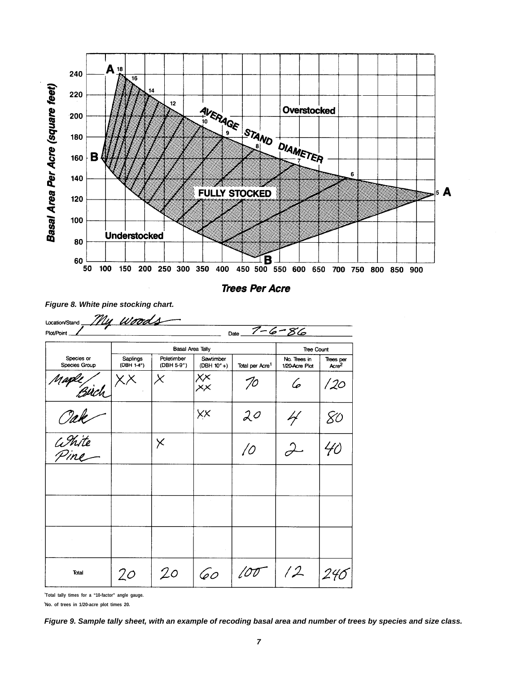

**Trees Per Acre** 

| <b>Plot/Point</b>           | My woods                |                          |                            | Date                        | $7 - 6 - 86$                   |                       |
|-----------------------------|-------------------------|--------------------------|----------------------------|-----------------------------|--------------------------------|-----------------------|
|                             | <b>Basal Area Tally</b> |                          |                            |                             | <b>Tree Count</b>              |                       |
| Species or<br>Species Group | Saplings<br>(DBH 1-4")  | Poletimber<br>(DBH 5-9") | Sawtimber<br>$(DBH 10" +)$ | Total per Acre <sup>1</sup> | No. Trees in<br>1/20-Acre Plot | Trees per<br>Acre $2$ |
| Maple /                     | KХ                      |                          | XX<br>XX                   | $70^{\circ}$                | 6                              | /20                   |
| Tak                         |                         |                          | XX                         | 20                          |                                | Χ0                    |
| White<br>Pine               |                         | $\times$                 |                            | 10                          |                                | 40                    |
|                             |                         |                          |                            |                             |                                |                       |
|                             |                         |                          |                            |                             |                                |                       |
|                             |                         |                          |                            |                             |                                |                       |
| Total                       | 20                      | 20                       | 60                         |                             | /2                             |                       |

**Figure 8. White pine stocking chart.**

**<sup>1</sup>Total tally times for a "10-factor" angle gauge.**

**<sup>2</sup>No. of trees in 1/20-acre plot times 20.**

**Figure 9. Sample tally sheet, with an example of recoding basal area and number of trees by species and size class.**